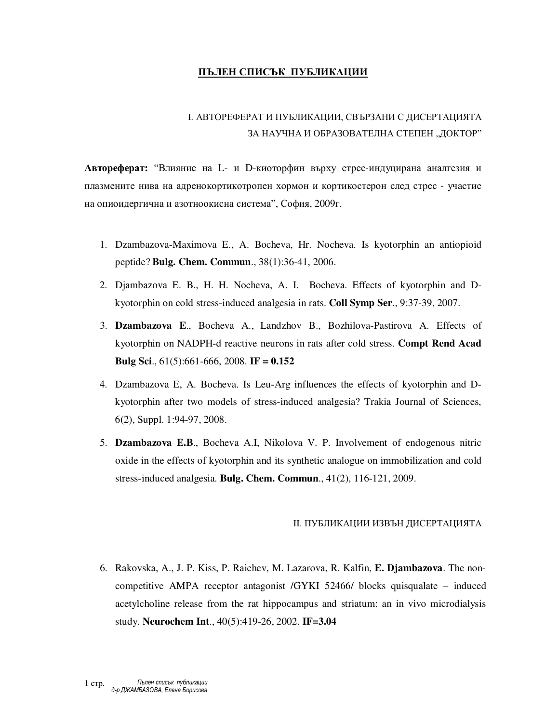## **ПЪЛЕН СПИСЪК ПУБЛИКАЦИИ**

## I. АВТОРЕФЕРАТ И ПУБЛИКАЦИИ, СВЪРЗАНИ С ДИСЕРТАЦИЯТА ЗА НАУЧНА И ОБРАЗОВАТЕЛНА СТЕПЕН "ДОКТОР"

**Автореферат:** "Влияние на L- и D-киоторфин върху стрес-индуцирана аналгезия и плазмените нива на адренокортикотропен хормон и кортикостерон след стрес - участие на опиоидергична и азотноокисна система", София, 2009г.

- 1. Dzambazova-Maximova E., A. Bocheva, Hr. Nocheva. Is kyotorphin an antiopioid peptide? **Bulg. Chem. Commun**., 38(1):36-41, 2006.
- 2. Djambazova E. B., H. H. Nocheva, A. I. Bocheva. Effects of kyotorphin and Dkyotorphin on cold stress-induced analgesia in rats. **Coll Symp Ser**., 9:37-39, 2007.
- 3. **Dzambazova E**., Bocheva A., Landzhov B., Bozhilova-Pastirova A. Effects of kyotorphin on NADPH-d reactive neurons in rats after cold stress. **Compt Rend Acad Bulg Sci**., 61(5):661-666, 2008. **IF = 0.152**
- 4. Dzambazova E, A. Bocheva. Is Leu-Arg influences the effects of kyotorphin and Dkyotorphin after two models of stress-induced analgesia? Trakia Journal of Sciences, 6(2), Suppl. 1:94-97, 2008.
- 5. **Dzambazova E.B**., Bocheva A.I, Nikolova V. P. Involvement of endogenous nitric oxide in the effects of kyotorphin and its synthetic analogue on immobilization and cold stress-induced analgesia. **Bulg. Chem. Commun**., 41(2), 116-121, 2009.

## II. ПУБЛИКАЦИИ ИЗВЪН ДИСЕРТАЦИЯТА

6. Rakovska, A., J. P. Kiss, P. Raichev, M. Lazarova, R. Kalfin, **E. Djambazova**. The noncompetitive AMPA receptor antagonist /GYKI 52466/ blocks quisqualate – induced acetylcholine release from the rat hippocampus and striatum: an in vivo microdialysis study. **Neurochem Int**., 40(5):419-26, 2002. **IF=3.04**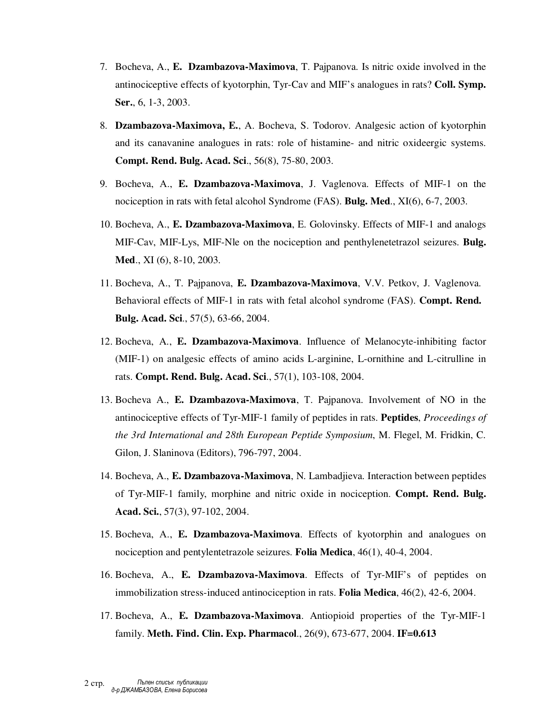- 7. Bocheva, A., **E. Dzambazova-Maximova**, T. Pajpanova. Is nitric oxide involved in the antinociceptive effects of kyotorphin, Tyr-Cav and MIF's analogues in rats? **Coll. Symp. Ser.**, 6, 1-3, 2003.
- 8. **Dzambazova-Maximova, E.**, A. Bocheva, S. Todorov. Analgesic action of kyotorphin and its canavanine analogues in rats: role of histamine- and nitric oxideergic systems. **Compt. Rend. Bulg. Acad. Sci**., 56(8), 75-80, 2003.
- 9. Bocheva, А., **E. Dzambazova-Maximova**, J. Vaglenova. Effects of MIF-1 on the nociception in rats with fetal alcohol Syndrome (FAS). **Bulg. Med**., XI(6), 6-7, 2003.
- 10. Bocheva, A., **E. Dzambazova-Maximova**, E. Golovinsky. Effects of MIF-1 and analogs MIF-Cav, MIF-Lys, MIF-Nle on the nociception and penthylenetetrazol seizures. **Bulg. Med**., XI (6), 8-10, 2003.
- 11. Bocheva, А., T. Pajpanova, **E. Dzambazova-Maximova**, V.V. Petkov, J. Vaglenova. Behavioral effects of MIF-1 in rats with fetal alcohol syndrome (FAS). **Compt. Rend. Bulg. Acad. Sci**., 57(5), 63-66, 2004.
- 12. Bocheva, A., **E. Dzambazova-Maximova**. Influence of Melanocyte-inhibiting factor (MIF-1) on analgesic effects of amino acids L-arginine, L-ornithine and L-citrulline in rats. **Compt. Rend. Bulg. Acad. Sci**., 57(1), 103-108, 2004.
- 13. Bocheva A., **E. Dzambazova-Maximova**, Т. Pajpanova. Involvement of NO in the antinociceptive effects of Tyr-MIF-1 family of peptides in rats. **Peptides**, *Proceedings of the 3rd International and 28th European Peptide Symposium*, M. Flegel, M. Fridkin, C. Gilon, J. Slaninova (Editors), 796-797, 2004.
- 14. Bocheva, A., **E. Dzambazova-Maximova**, N. Lambadjieva. Interaction between peptides of Tyr-MIF-1 family, morphine and nitric oxide in nociception. **Compt. Rend. Bulg. Acad. Sci.**, 57(3), 97-102, 2004.
- 15. Bocheva, А., **E. Dzambazova-Maximova**. Effects of kyotorphin and analogues on nociception and pentylentetrazole seizures. **Folia Medica**, 46(1), 40-4, 2004.
- 16. Bocheva, A., **E. Dzambazova-Maximova**. Effects of Tyr-MIF's of peptides on immobilization stress-induced antinociception in rats. **Folia Medica**, 46(2), 42-6, 2004.
- 17. Bocheva, A., **E. Dzambazova-Maximova**. Antiopioid properties of the Tyr-MIF-1 family. **Meth. Find. Clin. Exp. Pharmacol**., 26(9), 673-677, 2004. **IF=0.613**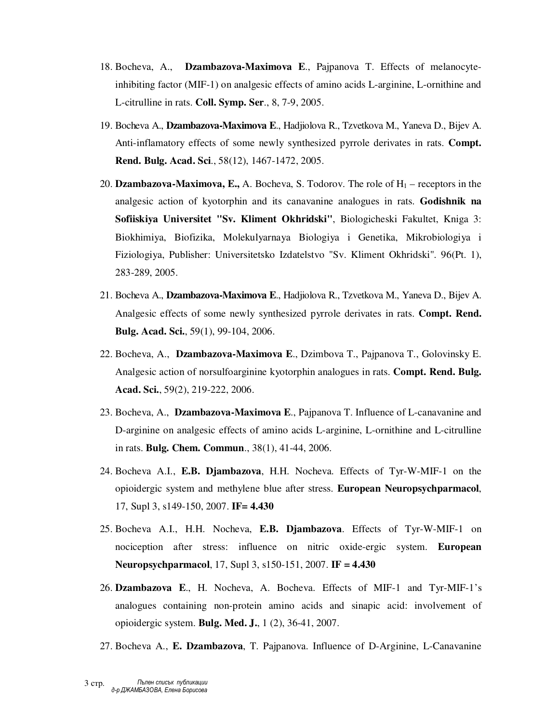- 18. Bocheva, A., **Dzambazova-Maximova E**., Pajpanova T. Effects of melanocyteinhibiting factor (MIF-1) on analgesic effects of amino acids L-arginine, L-ornithine and L-citrulline in rats. **Coll. Symp. Ser**., 8, 7-9, 2005.
- 19. Bocheva A., **Dzambazova-Maximova E**., Hadjiolova R., Tzvetkova M., Yaneva D., Bijev A. Anti-inflamatory effects of some newly synthesized pyrrole derivates in rats. **Compt. Rend. Bulg. Acad. Sci**., 58(12), 1467-1472, 2005.
- 20. **Dzambazova-Maximova, E.,** A. Bocheva, S. Todorov. The role of H1 receptors in the analgesic action of kyotorphin and its canavanine analogues in rats. **Godishnik na Sofiiskiya Universitet "Sv. Kliment Okhridski"**, Biologicheski Fakultet, Kniga 3: Biokhimiya, Biofizika, Molekulyarnaya Biologiya i Genetika, Mikrobiologiya i Fiziologiya, Publisher: Universitetsko Izdatelstvo "Sv. Kliment Okhridski". 96(Pt. 1), 283-289, 2005.
- 21. Bocheva A., **Dzambazova-Maximova E**., Hadjiolova R., Tzvetkova M., Yaneva D., Bijev A. Analgesic effects of some newly synthesized pyrrole derivates in rats. **Compt. Rend. Bulg. Acad. Sci.**, 59(1), 99-104, 2006.
- 22. Bocheva, A., **Dzambazova-Maximova E**., Dzimbova T., Pajpanova T., Golovinsky E. Analgesic action of norsulfoarginine kyotorphin analogues in rats. **Compt. Rend. Bulg. Acad. Sci.**, 59(2), 219-222, 2006.
- 23. Bocheva, A., **Dzambazova-Maximova E**., Pajpanova T. Influence of L-canavanine and D-arginine on analgesic effects of amino acids L-arginine, L-ornithine and L-citrulline in rats. **Bulg. Chem. Commun**., 38(1), 41-44, 2006.
- 24. Bocheva A.I., **E.B. Djambazova**, H.H. Nocheva. Effects of Tyr-W-MIF-1 on the opioidergic system and methylene blue after stress. **European Neuropsychparmacol**, 17, Supl 3, s149-150, 2007. **IF= 4.430**
- 25. Bocheva A.I., H.H. Nocheva, **E.B. Djambazova**. Effects of Tyr-W-MIF-1 on nociception after stress: influence on nitric oxide-ergic system. **European Neuropsychparmacol**, 17, Supl 3, s150-151, 2007. **IF = 4.430**
- 26. **Dzambazova E**., H. Nocheva, A. Bocheva. Effects of MIF-1 and Tyr-MIF-1's analogues containing non-protein amino acids and sinapic acid: involvement of opioidergic system. **Bulg. Med. J.**, 1 (2), 36-41, 2007.
- 27. Bocheva A., **E. Dzambazova**, T. Pajpanova. Influence of D-Arginine, L-Canavanine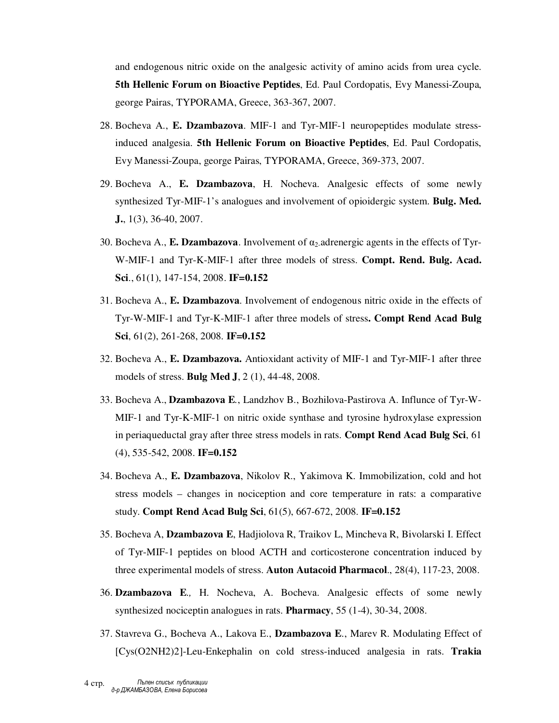and endogenous nitric oxide on the analgesic activity of amino acids from urea cycle. **5th Hellenic Forum on Bioactive Peptides**, Ed. Paul Cordopatis, Evy Manessi-Zoupa, george Pairas, TYPORAMA, Greece, 363-367, 2007.

- 28. Bocheva A., **E. Dzambazova**. MIF-1 and Tyr-MIF-1 neuropeptides modulate stressinduced analgesia. **5th Hellenic Forum on Bioactive Peptides**, Ed. Paul Cordopatis, Evy Manessi-Zoupa, george Pairas, TYPORAMA, Greece, 369-373, 2007.
- 29. Bocheva A., **E. Dzambazova**, H. Nocheva. Analgesic effects of some newly synthesized Tyr-MIF-1's analogues and involvement of opioidergic system. **Bulg. Med. J.**, 1(3), 36-40, 2007.
- 30. Bocheva A., **E. Dzambazova**. Involvement of α2-adrenergic agents in the effects of Tyr-W-MIF-1 and Tyr-K-MIF-1 after three models of stress. **Compt. Rend. Bulg. Acad. Sci**., 61(1), 147-154, 2008. **IF=0.152**
- 31. Bocheva A., **E. Dzambazova**. Involvement of endogenous nitric oxide in the effects of Tyr-W-MIF-1 and Tyr-K-MIF-1 after three models of stress**. Compt Rend Acad Bulg Sci**, 61(2), 261-268, 2008. **IF=0.152**
- 32. Bocheva A., **E. Dzambazova.** Antioxidant activity of MIF-1 and Tyr-MIF-1 after three models of stress. **Bulg Med J**, 2 (1), 44-48, 2008.
- 33. Bocheva A., **Dzambazova E***.*, Landzhov B., Bozhilova-Pastirova A. Influnce of Tyr-W-MIF-1 and Tyr-K-MIF-1 on nitric oxide synthase and tyrosine hydroxylase expression in periaqueductal gray after three stress models in rats. **Compt Rend Acad Bulg Sci**, 61 (4), 535-542, 2008. **IF=0.152**
- 34. Bocheva A., **E. Dzambazova**, Nikolov R., Yakimova K. Immobilization, cold and hot stress models – changes in nociception and core temperature in rats: a comparative study. **Compt Rend Acad Bulg Sci**, 61(5), 667-672, 2008. **IF=0.152**
- 35. Bocheva A, **Dzambazova E**, Hadjiolova R, Traikov L, Mincheva R, Bivolarski I. Effect of Tyr-MIF-1 peptides on blood ACTH and corticosterone concentration induced by three experimental models of stress. **Auton Autacoid Pharmacol**., 28(4), 117-23, 2008.
- 36. **Dzambazova E***.,* H. Nocheva, A. Bocheva. Analgesic effects of some newly synthesized nociceptin analogues in rats. **Pharmacy**, 55 (1-4), 30-34, 2008.
- 37. Stavreva G., Bocheva A., Lakova E., **Dzambazova E**., Marev R. Modulating Effect of [Cys(O2NH2)2]-Leu-Enkephalin on cold stress-induced analgesia in rats. **Trakia**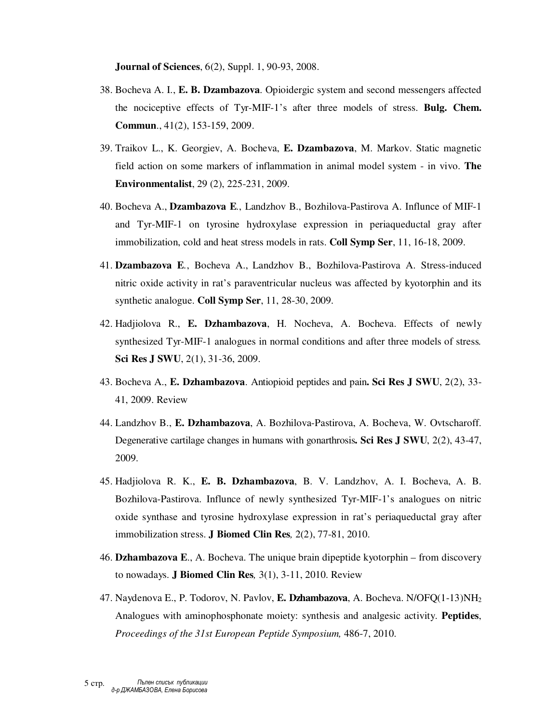**Journal of Sciences**, 6(2), Suppl. 1, 90-93, 2008.

- 38. Bocheva A. I., **E. B. Dzambazova**. Opioidergic system and second messengers affected the nociceptive effects of Tyr-MIF-1's after three models of stress. **Bulg. Chem. Commun**., 41(2), 153-159, 2009.
- 39. Traikov L., K. Georgiev, A. Bocheva, **E. Dzambazova**, M. Markov. Static magnetic field action on some markers of inflammation in animal model system - in vivo. **The Environmentalist**, 29 (2), 225-231, 2009.
- 40. Bocheva A., **Dzambazova E***.*, Landzhov B., Bozhilova-Pastirova A. Influnce of MIF-1 and Tyr-MIF-1 on tyrosine hydroxylase expression in periaqueductal gray after immobilization, cold and heat stress models in rats. **Coll Symp Ser**, 11, 16-18, 2009.
- 41. **Dzambazova E***.*, Bocheva A., Landzhov B., Bozhilova-Pastirova A. Stress-induced nitric oxide activity in rat's paraventricular nucleus was affected by kyotorphin and its synthetic analogue. **Coll Symp Ser**, 11, 28-30, 2009.
- 42. Hadjiolova R., **E. Dzhambazova**, H. Nocheva, A. Bocheva. Effects of newly synthesized Tyr-MIF-1 analogues in normal conditions and after three models of stress*.*  **Sci Res J SWU**, 2(1), 31-36, 2009.
- 43. Bocheva A., **E. Dzhambazova**. Antiopioid peptides and pain**. Sci Res J SWU**, 2(2), 33- 41, 2009. Review
- 44. Landzhov B., **E. Dzhambazova**, A. Bozhilova-Pastirova, A. Bocheva, W. Ovtscharoff. Degenerative cartilage changes in humans with gonarthrosis**. Sci Res J SWU**, 2(2), 43-47, 2009.
- 45. Hadjiolova R. K., **E. B. Dzhambazova**, B. V. Landzhov, A. I. Bocheva, A. B. Bozhilova-Pastirova. Influnce of newly synthesized Tyr-MIF-1's analogues on nitric oxide synthase and tyrosine hydroxylase expression in rat's periaqueductal gray after immobilization stress. **J Biomed Clin Res***,* 2(2), 77-81, 2010.
- 46. **Dzhambazova E**., A. Bocheva. The unique brain dipeptide kyotorphin from discovery to nowadays. **J Biomed Clin Res***,* 3(1), 3-11, 2010. Review
- 47. Naydenova E., P. Todorov, N. Pavlov, **E. Dzhambazova**, A. Bocheva. N/OFQ(1-13)NH<sup>2</sup> Analogues with aminophosphonate moiety: synthesis and analgesic activity. **Peptides**, *Proceedings of the 31st European Peptide Symposium,* 486-7, 2010.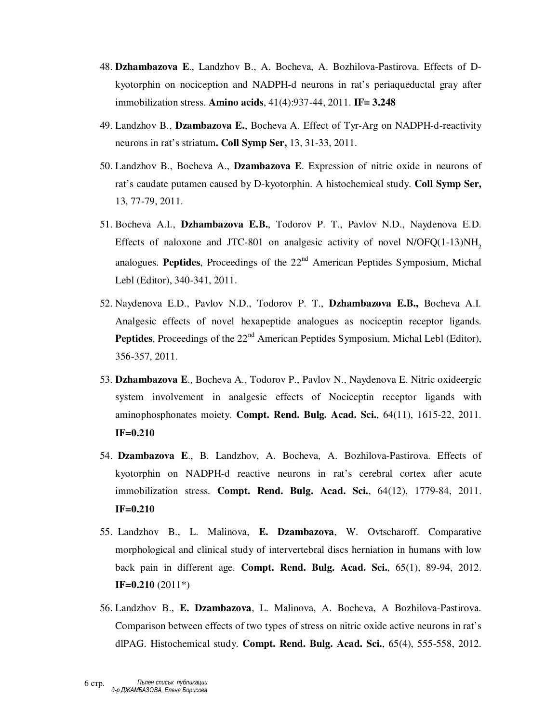- 48. **Dzhambazova E**., Landzhov B., A. Bocheva, A. Bozhilova-Pastirova. Effects of Dkyotorphin on nociception and NADPH-d neurons in rat's periaqueductal gray after immobilization stress. **Amino acids**, 41(4):937-44, 2011. **IF= 3.248**
- 49. Landzhov B., **Dzambazova E.**, Bocheva A. Effect of Tyr-Arg on NADPH-d-reactivity neurons in rat's striatum**. Coll Symp Ser,** 13, 31-33, 2011.
- 50. Landzhov B., Bocheva A., **Dzambazova E**. Expression of nitric oxide in neurons of rat's caudate putamen caused by D-kyotorphin. A histochemical study. **Coll Symp Ser,**  13, 77-79, 2011.
- 51. Bocheva A.I., **Dzhambazova E.B.**, Todorov P. T., Pavlov N.D., Naydenova E.D. Effects of naloxone and JTC-801 on analgesic activity of novel  $N/OFQ(1-13)NH<sub>2</sub>$ analogues. **Peptides**, Proceedings of the 22<sup>nd</sup> American Peptides Symposium, Michal Lebl (Editor), 340-341, 2011.
- 52. Naydenova E.D., Pavlov N.D., Todorov P. T., **Dzhambazova E.B.,** Bocheva A.I. Analgesic effects of novel hexapeptide analogues as nociceptin receptor ligands. **Peptides**, Proceedings of the 22<sup>nd</sup> American Peptides Symposium, Michal Lebl (Editor), 356-357, 2011.
- 53. **Dzhambazova E**., Bocheva A., Todorov P., Pavlov N., Naydenova E. Nitric oxideergic system involvement in analgesic effects of Nociceptin receptor ligands with aminophosphonates moiety. **Compt. Rend. Bulg. Acad. Sci.**, 64(11), 1615-22, 2011. **IF=0.210**
- 54. **Dzambazova E**., B. Landzhov, A. Bocheva, A. Bozhilova-Pastirova. Effects of kyotorphin on NADPH-d reactive neurons in rat's cerebral cortex after acute immobilization stress. **Compt. Rend. Bulg. Acad. Sci.**, 64(12), 1779-84, 2011. **IF=0.210**
- 55. Landzhov B., L. Malinova, **E. Dzambazova**, W. Ovtscharoff. Comparative morphological and clinical study of intervertebral discs herniation in humans with low back pain in different age. **Compt. Rend. Bulg. Acad. Sci.**, 65(1), 89-94, 2012. **IF=0.210** (2011\*)
- 56. Landzhov B., **E. Dzambazova**, L. Malinova, A. Bocheva, A Bozhilova-Pastirova. Comparison between effects of two types of stress on nitric oxide active neurons in rat's dlPAG. Histochemical study. **Compt. Rend. Bulg. Acad. Sci.**, 65(4), 555-558, 2012.